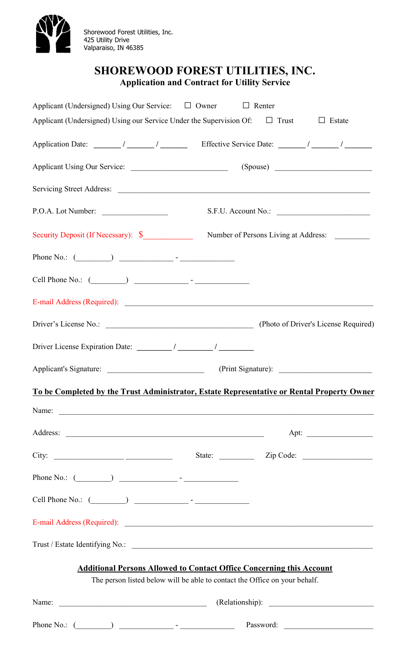

Shorewood Forest Utilities, Inc. 425 Utility Drive Valparaiso, IN 46385

## SHOREWOOD FOREST UTILITIES, INC. Application and Contract for Utility Service

| Applicant (Undersigned) Using Our Service: □ Owner □ Renter                                |                         |  |
|--------------------------------------------------------------------------------------------|-------------------------|--|
| Applicant (Undersigned) Using our Service Under the Supervision Of: $\Box$ Trust           | $\Box$ Estate           |  |
|                                                                                            |                         |  |
|                                                                                            |                         |  |
|                                                                                            |                         |  |
| P.O.A. Lot Number:                                                                         | S.F.U. Account No.:     |  |
| Security Deposit (If Necessary): \$ Number of Persons Living at Address:                   |                         |  |
| Phone No.: $(\_\_\_\_\_$                                                                   |                         |  |
| Cell Phone No.: $(\_\_\_\_\_$                                                              |                         |  |
|                                                                                            |                         |  |
|                                                                                            |                         |  |
|                                                                                            |                         |  |
|                                                                                            |                         |  |
| To be Completed by the Trust Administrator, Estate Representative or Rental Property Owner |                         |  |
| Name: <u>International Communication</u>                                                   |                         |  |
|                                                                                            |                         |  |
| City: $\qquad \qquad \qquad$                                                               | State: <u>Zip Code:</u> |  |
| Phone No.: $(\_\_\_\_\_$                                                                   |                         |  |
| Cell Phone No.: $(\_\_\_\_\_\_$                                                            |                         |  |
|                                                                                            |                         |  |
|                                                                                            |                         |  |
| <b>Additional Persons Allowed to Contact Office Concerning this Account</b>                |                         |  |
| The person listed below will be able to contact the Office on your behalf.                 |                         |  |
| Name: Name:                                                                                | (Relationship):         |  |
|                                                                                            |                         |  |